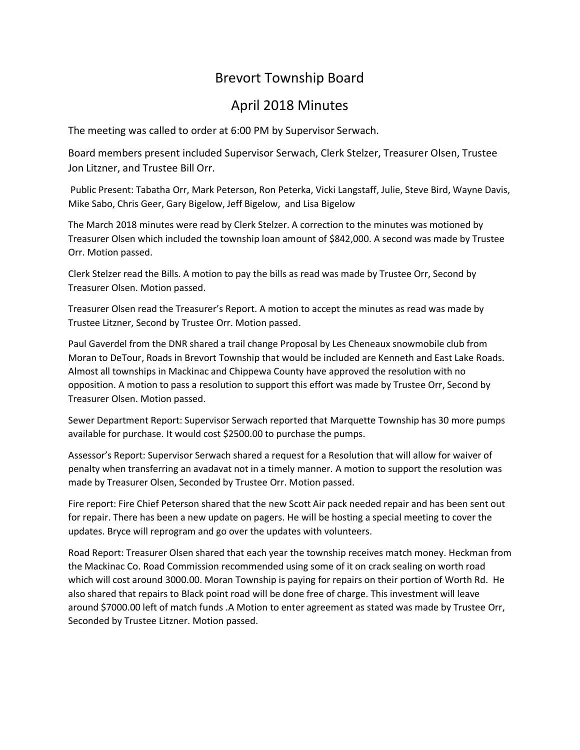## Brevort Township Board

## April 2018 Minutes

The meeting was called to order at 6:00 PM by Supervisor Serwach.

Board members present included Supervisor Serwach, Clerk Stelzer, Treasurer Olsen, Trustee Jon Litzner, and Trustee Bill Orr.

Public Present: Tabatha Orr, Mark Peterson, Ron Peterka, Vicki Langstaff, Julie, Steve Bird, Wayne Davis, Mike Sabo, Chris Geer, Gary Bigelow, Jeff Bigelow, and Lisa Bigelow

The March 2018 minutes were read by Clerk Stelzer. A correction to the minutes was motioned by Treasurer Olsen which included the township loan amount of \$842,000. A second was made by Trustee Orr. Motion passed.

Clerk Stelzer read the Bills. A motion to pay the bills as read was made by Trustee Orr, Second by Treasurer Olsen. Motion passed.

Treasurer Olsen read the Treasurer's Report. A motion to accept the minutes as read was made by Trustee Litzner, Second by Trustee Orr. Motion passed.

Paul Gaverdel from the DNR shared a trail change Proposal by Les Cheneaux snowmobile club from Moran to DeTour, Roads in Brevort Township that would be included are Kenneth and East Lake Roads. Almost all townships in Mackinac and Chippewa County have approved the resolution with no opposition. A motion to pass a resolution to support this effort was made by Trustee Orr, Second by Treasurer Olsen. Motion passed.

Sewer Department Report: Supervisor Serwach reported that Marquette Township has 30 more pumps available for purchase. It would cost \$2500.00 to purchase the pumps.

Assessor's Report: Supervisor Serwach shared a request for a Resolution that will allow for waiver of penalty when transferring an avadavat not in a timely manner. A motion to support the resolution was made by Treasurer Olsen, Seconded by Trustee Orr. Motion passed.

Fire report: Fire Chief Peterson shared that the new Scott Air pack needed repair and has been sent out for repair. There has been a new update on pagers. He will be hosting a special meeting to cover the updates. Bryce will reprogram and go over the updates with volunteers.

Road Report: Treasurer Olsen shared that each year the township receives match money. Heckman from the Mackinac Co. Road Commission recommended using some of it on crack sealing on worth road which will cost around 3000.00. Moran Township is paying for repairs on their portion of Worth Rd. He also shared that repairs to Black point road will be done free of charge. This investment will leave around \$7000.00 left of match funds .A Motion to enter agreement as stated was made by Trustee Orr, Seconded by Trustee Litzner. Motion passed.